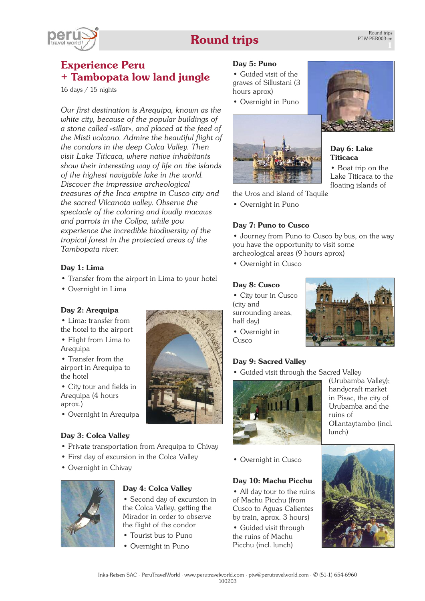# **Round trips**



# **Experience Peru + Tambopata low land jungle**

16 days / 15 nights

*Our first destination is Arequipa, known as the white city, because of the popular buildings of a stone called «sillar», and placed at the feed of the Misti volcano. Admire the beautiful flight of the condors in the deep Colca Valley. Then visit Lake Titicaca, where native inhabitants show their interesting way of life on the islands of the highest navigable lake in the world. Discover the impressive archeological treasures of the Inca empire in Cusco city and the sacred Vilcanota valley. Observe the spectacle of the coloring and loudly macaws and parrots in the Collpa, while you experience the incredible biodiversity of the tropical forest in the protected areas of the Tambopata river.*

# **Day 1: Lima**

- Transfer from the airport in Lima to your hotel
- Overnight in Lima

# **Day 2: Arequipa**

- Lima: transfer from the hotel to the airport
- Flight from Lima to Arequipa
- Transfer from the airport in Arequipa to the hotel
- City tour and fields in Arequipa (4 hours aprox.)
- Overnight in Arequipa

# **Day 3: Colca Valley**

- Private transportation from Arequipa to Chivay
- First day of excursion in the Colca Valley
- Overnight in Chivay



# **Day 4: Colca Valley**

• Second day of excursion in the Colca Valley, getting the Mirador in order to observe the flight of the condor

- Tourist bus to Puno
- Overnight in Puno

# **Day 5: Puno**

• Guided visit of the graves of Sillustani (3 hours aprox)

• Overnight in Puno





• Boat trip on the Lake Titicaca to the floating islands of

the Uros and island of Taquile

• Overnight in Puno

# **Day 7: Puno to Cusco**

• Journey from Puno to Cusco by bus, on the way you have the opportunity to visit some archeological areas (9 hours aprox)

• Overnight in Cusco

#### **Day 8: Cusco**

- City tour in Cusco (city and surrounding areas, half day)
- Overnight in Cusco

# **Day 9: Sacred Valley**

• Guided visit through the Sacred Valley



• Overnight in Cusco

# **Day 10: Machu Picchu**

• All day tour to the ruins of Machu Picchu (from Cusco to Aguas Calientes by train, aprox. 3 hours)

• Guided visit through the ruins of Machu Picchu (incl. lunch)



(Urubamba Valley); handycraft market in Pisac, the city of Urubamba and the ruins of Ollantaytambo (incl. lunch)



Inka-Reisen SAC · PeruTravelWorld · [www.perutravelworld.com](http://www.perutravelworld.com) · ptw@perutravelworld.com · ✆ (51-1) 654-6960

100203